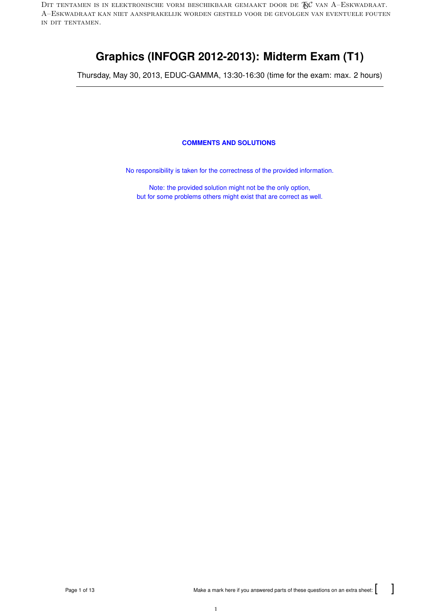DIT TENTAMEN IS IN ELEKTRONISCHE VORM BESCHIKBAAR GEMAAKT DOOR DE  $\mathcal{R}$ C van A–Eskwadraat. A–Eskwadraat kan niet aansprakelijk worden gesteld voor de gevolgen van eventuele fouten in dit tentamen.

# **Graphics (INFOGR 2012-2013): Midterm Exam (T1)**

Thursday, May 30, 2013, EDUC-GAMMA, 13:30-16:30 (time for the exam: max. 2 hours)

## **COMMENTS AND SOLUTIONS**

No responsibility is taken for the correctness of the provided information.

Note: the provided solution might not be the only option, but for some problems others might exist that are correct as well.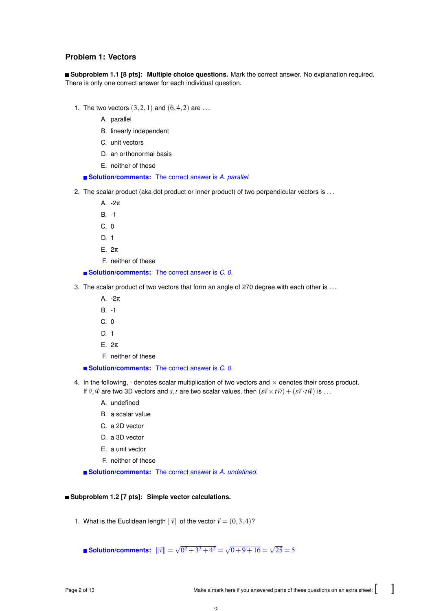# **Problem 1: Vectors**

**Subproblem 1.1 [8 pts]: Multiple choice questions.** Mark the correct answer. No explanation required. There is only one correct answer for each individual question.

- 1. The two vectors  $(3,2,1)$  and  $(6,4,2)$  are ...
	- A. parallel
	- B. linearly independent
	- C. unit vectors
	- D. an orthonormal basis
	- E. neither of these

**Solution/comments:** The correct answer is *A. parallel*.

- 2. The scalar product (aka dot product or inner product) of two perpendicular vectors is . . .
	- A. -2π
	- B. -1
	- C. 0
	- D. 1
	- E. 2π
	- F. neither of these

■ **Solution/comments:** The correct answer is *C. 0*.

- 3. The scalar product of two vectors that form an angle of 270 degree with each other is ...
	- A. -2π
	- B. -1
	- C. 0
	- D. 1
	- E. 2π
	- F. neither of these

**Solution/comments:** The correct answer is *C. 0*.

- 4. In the following,  $\cdot$  denotes scalar multiplication of two vectors and  $\times$  denotes their cross product. If  $\vec{v}$ ,  $\vec{w}$  are two 3D vectors and *s*,*t* are two scalar values, then  $(s\vec{v}\times t\vec{w}) + (s\vec{v}\cdot t\vec{w})$  is ...
	- A. undefined
	- B. a scalar value
	- C. a 2D vector
	- D. a 3D vector
	- E. a unit vector
	- F. neither of these

**Solution/comments:** The correct answer is *A. undefined*.

## **Subproblem 1.2 [7 pts]: Simple vector calculations.**

1. What is the Euclidean length  $\|\vec{v}\|$  of the vector  $\vec{v} = (0,3,4)$ ?

**Solution/comments:**  $\|\vec{v}\|$  = √  $\sqrt{0^2 + 3^2 + 4^2} = \sqrt{25}$  $0+9+16 =$ √  $25 = 5$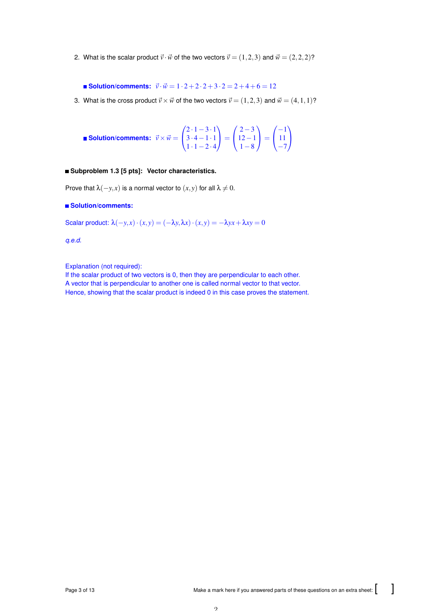2. What is the scalar product  $\vec{v} \cdot \vec{w}$  of the two vectors  $\vec{v} = (1,2,3)$  and  $\vec{w} = (2,2,2)$ ?

**Solution/comments:**  $\vec{v} \cdot \vec{w} = 1 \cdot 2 + 2 \cdot 2 + 3 \cdot 2 = 2 + 4 + 6 = 12$ 

3. What is the cross product  $\vec{v} \times \vec{w}$  of the two vectors  $\vec{v} = (1,2,3)$  and  $\vec{w} = (4,1,1)$ ?

**Solution/comments:** 
$$
\vec{v} \times \vec{w} = \begin{pmatrix} 2 \cdot 1 - 3 \cdot 1 \\ 3 \cdot 4 - 1 \cdot 1 \\ 1 \cdot 1 - 2 \cdot 4 \end{pmatrix} = \begin{pmatrix} 2 - 3 \\ 12 - 1 \\ 1 - 8 \end{pmatrix} = \begin{pmatrix} -1 \\ 11 \\ -7 \end{pmatrix}
$$

## **Subproblem 1.3 [5 pts]: Vector characteristics.**

Prove that  $\lambda(-y, x)$  is a normal vector to  $(x, y)$  for all  $\lambda \neq 0$ .

## **Solution/comments:**

Scalar product:  $\lambda(-y, x) \cdot (x, y) = (-\lambda y, \lambda x) \cdot (x, y) = -\lambda y x + \lambda x y = 0$ 

*q.e.d.*

Explanation (not required):

If the scalar product of two vectors is 0, then they are perpendicular to each other. A vector that is perpendicular to another one is called normal vector to that vector. Hence, showing that the scalar product is indeed 0 in this case proves the statement.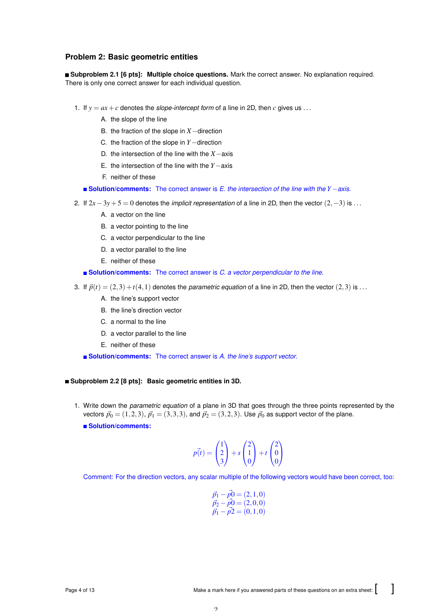## **Problem 2: Basic geometric entities**

**Subproblem 2.1 [6 pts]: Multiple choice questions.** Mark the correct answer. No explanation required. There is only one correct answer for each individual question.

- 1. If  $y = ax + c$  denotes the *slope-intercept form* of a line in 2D, then *c* gives us ...
	- A. the slope of the line
	- B. the fraction of the slope in *X*−direction
	- C. the fraction of the slope in *Y*−direction
	- D. the intersection of the line with the *X*−axis
	- E. the intersection of the line with the *Y*−axis
	- F. neither of these

**Solution/comments:** The correct answer is *E. the intersection of the line with the Y*−*axis*.

- 2. If 2*x*−3*y*+5 = 0 denotes the *implicit representation* of a line in 2D, then the vector (2,−3) is . . .
	- A. a vector on the line
	- B. a vector pointing to the line
	- C. a vector perpendicular to the line
	- D. a vector parallel to the line
	- E. neither of these

**Solution/comments:** The correct answer is *C. a vector perpendicular to the line*.

- 3. If  $\vec{p}(t) = (2,3) + t(4,1)$  denotes the *parametric equation* of a line in 2D, then the vector  $(2,3)$  is ...
	- A. the line's support vector
	- B. the line's direction vector
	- C. a normal to the line
	- D. a vector parallel to the line
	- E. neither of these

**Solution/comments:** The correct answer is *A. the line's support vector*.

#### **Subproblem 2.2 [8 pts]: Basic geometric entities in 3D.**

1. Write down the *parametric equation* of a plane in 3D that goes through the three points represented by the vectors  $\vec{p}_0 = (1, 2, 3), \vec{p}_1 = (3, 3, 3),$  and  $\vec{p}_2 = (3, 2, 3).$  Use  $\vec{p}_0$  as support vector of the plane.

**Solution/comments:**

$$
p(t) = \begin{pmatrix} 1 \\ 2 \\ 3 \end{pmatrix} + s \begin{pmatrix} 2 \\ 1 \\ 0 \end{pmatrix} + t \begin{pmatrix} 2 \\ 0 \\ 0 \end{pmatrix}
$$

Comment: For the direction vectors, any scalar multiple of the following vectors would have been correct, too:

$$
\vec{p}_1 - \vec{p}_0 = (2, 1, 0) \n\vec{p}_2 - \vec{p}_0 = (2, 0, 0) \n\vec{p}_1 - \vec{p}_2 = (0, 1, 0)
$$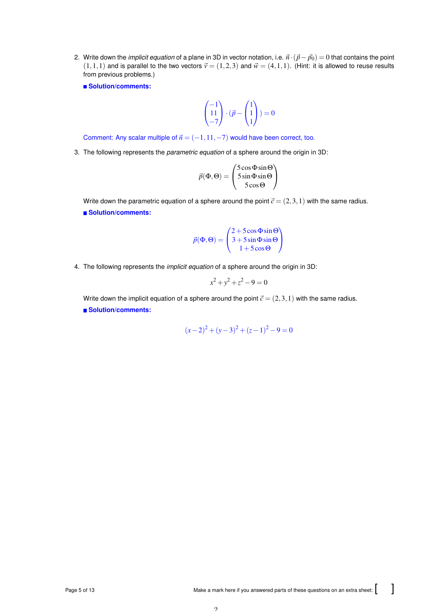2. Write down the *implicit equation* of a plane in 3D in vector notation, i.e.  $\vec{n} \cdot (\vec{p} - \vec{p}_0) = 0$  that contains the point  $(1,1,1)$  and is parallel to the two vectors  $\vec{v} = (1,2,3)$  and  $\vec{w} = (4,1,1)$ . (Hint: it is allowed to reuse results from previous problems.)

**Solution/comments:**

$$
\begin{pmatrix} -1 \\ 11 \\ -7 \end{pmatrix} \cdot (\vec{p} - \begin{pmatrix} 1 \\ 1 \\ 1 \end{pmatrix}) = 0
$$

Comment: Any scalar multiple of  $\vec{n} = (-1,11,-7)$  would have been correct, too.

3. The following represents the *parametric equation* of a sphere around the origin in 3D:

$$
\vec{p}(\Phi, \Theta) = \begin{pmatrix} 5\cos\Phi\sin\Theta \\ 5\sin\Phi\sin\Theta \\ 5\cos\Theta \end{pmatrix}
$$

Write down the parametric equation of a sphere around the point  $\vec{c} = (2,3,1)$  with the same radius. **Solution/comments:**

$$
\vec{p}(\Phi, \Theta) = \begin{pmatrix} 2 + 5\cos\Phi\sin\Theta \\ 3 + 5\sin\Phi\sin\Theta \\ 1 + 5\cos\Theta \end{pmatrix}
$$

4. The following represents the *implicit equation* of a sphere around the origin in 3D:

$$
x^2 + y^2 + z^2 - 9 = 0
$$

Write down the implicit equation of a sphere around the point  $\vec{c} = (2,3,1)$  with the same radius. **Solution/comments:**

$$
(x-2)^2 + (y-3)^2 + (z-1)^2 - 9 = 0
$$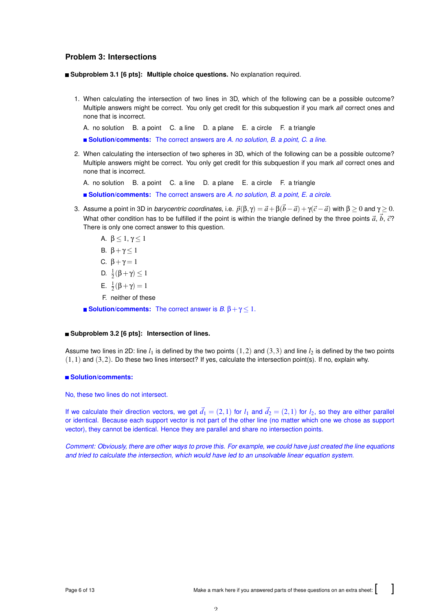## **Problem 3: Intersections**

**Subproblem 3.1 [6 pts]: Multiple choice questions.** No explanation required.

1. When calculating the intersection of two lines in 3D, which of the following can be a possible outcome? Multiple answers might be correct. You only get credit for this subquestion if you mark *all* correct ones and none that is incorrect.

A. no solution B. a point C. a line D. a plane E. a circle F. a triangle

**Solution/comments:** The correct answers are *A. no solution, B. a point, C. a line*.

2. When calculating the intersection of two spheres in 3D, which of the following can be a possible outcome? Multiple answers might be correct. You only get credit for this subquestion if you mark *all* correct ones and none that is incorrect.

A. no solution B. a point C. a line D. a plane E. a circle F. a triangle

**Solution/comments:** The correct answers are *A. no solution, B. a point, E. a circle*.

3. Assume a point in 3D in *barycentric coordinates*, i.e.  $\vec{p}(\beta, \gamma) = \vec{a} + \beta(\vec{b} - \vec{a}) + \gamma(\vec{c} - \vec{a})$  with β ≥ 0 and γ ≥ 0. What other condition has to be fulfilled if the point is within the triangle defined by the three points  $\vec{a}$ ,  $\vec{b}$ ,  $\vec{c}$ ? There is only one correct answer to this question.

A. 
$$
\beta \le 1, \gamma \le 1
$$
  
\nB.  $\beta + \gamma \le 1$   
\nC.  $\beta + \gamma = 1$   
\nD.  $\frac{1}{2}(\beta + \gamma) \le 1$ 

- E.  $\frac{1}{2}(\beta + \gamma) = 1$
- F. neither of these

**Solution/comments:** The correct answer is  $B$ .  $\beta + \gamma \leq 1$ .

#### **Subproblem 3.2 [6 pts]: Intersection of lines.**

Assume two lines in 2D: line  $l_1$  is defined by the two points  $(1,2)$  and  $(3,3)$  and line  $l_2$  is defined by the two points  $(1,1)$  and  $(3,2)$ . Do these two lines intersect? If yes, calculate the intersection point(s). If no, explain why.

## **Solution/comments:**

No, these two lines do not intersect.

If we calculate their direction vectors, we get  $\vec{d}_1 = (2,1)$  for  $l_1$  and  $\vec{d}_2 = (2,1)$  for  $l_2$ , so they are either parallel or identical. Because each support vector is not part of the other line (no matter which one we chose as support vector), they cannot be identical. Hence they are parallel and share no intersection points.

*Comment: Obviously, there are other ways to prove this. For example, we could have just created the line equations and tried to calculate the intersection, which would have led to an unsolvable linear equation system.*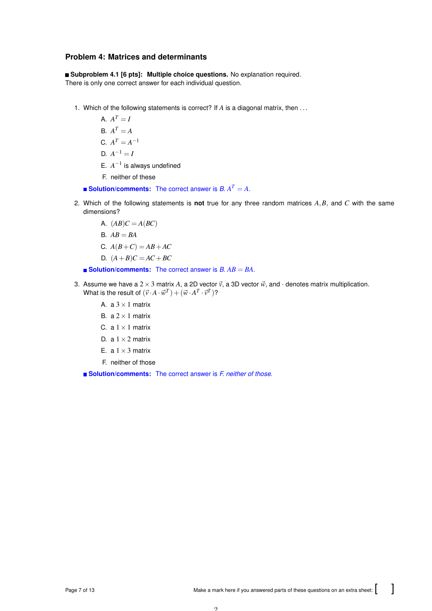# **Problem 4: Matrices and determinants**

**Subproblem 4.1 [6 pts]: Multiple choice questions.** No explanation required. There is only one correct answer for each individual question.

- 1. Which of the following statements is correct? If *A* is a diagonal matrix, then . . .
	- A.  $A^T = I$
	- $A^T = A$

$$
C. A^T = A^{-1}
$$

- $D. A^{-1} = I$
- E.  $A^{-1}$  is always undefined
- F. neither of these
- **Solution/comments:** The correct answer is  $B$ .  $A^T = A$ .
- 2. Which of the following statements is **not** true for any three random matrices *A*,*B*, and *C* with the same dimensions?
	- A.  $(AB)C = A(BC)$
	- B.  $AB = BA$
	- C.  $A(B+C) = AB + AC$
	- D.  $(A + B)C = AC + BC$

**Solution/comments:** The correct answer is *B. AB* = *BA*.

- 3. Assume we have a  $2 \times 3$  matrix *A*, a 2D vector  $\vec{v}$ , a 3D vector  $\vec{w}$ , and  $\cdot$  denotes matrix multiplication. What is the result of  $(\vec{v} \cdot A \cdot \vec{w}^T) + (\vec{w} \cdot A^T \cdot \vec{v}^T)$ ?
	- A. a  $3 \times 1$  matrix
	- B. a  $2 \times 1$  matrix
	- C. a  $1 \times 1$  matrix
	- D. a  $1 \times 2$  matrix
	- E. a  $1 \times 3$  matrix
	- F. neither of those

**Solution/comments:** The correct answer is *F. neither of those*.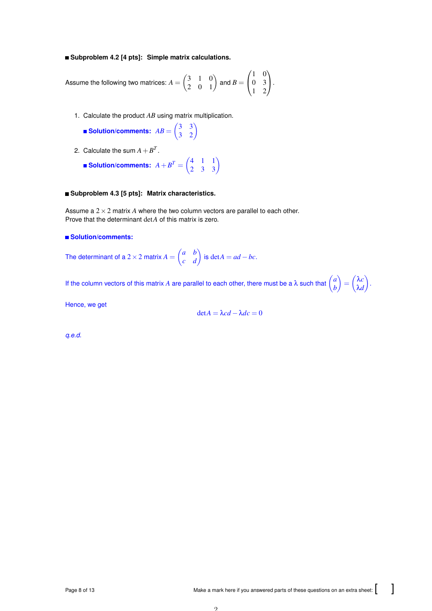#### **Subproblem 4.2 [4 pts]: Simple matrix calculations.**

Assume the following two matrices:  $A = \begin{pmatrix} 3 & 1 & 0 \ 2 & 0 & 1 \end{pmatrix}$  and  $B =$  $\sqrt{ }$  $\overline{1}$ 1 0 0 3 1 2 V,  $\cdot$ 

- 1. Calculate the product *AB* using matrix multiplication.
	- **Solution/comments:**  $AB = \begin{pmatrix} 3 & 3 \\ 3 & 2 \end{pmatrix}$
- 2. Calculate the sum  $A + B^T$ .
	- **Solution/comments:**  $A + B^T = \begin{pmatrix} 4 & 1 & 1 \ 2 & 3 & 3 \end{pmatrix}$

#### **Subproblem 4.3 [5 pts]: Matrix characteristics.**

Assume a 2×2 matrix *A* where the two column vectors are parallel to each other. Prove that the determinant det*A* of this matrix is zero.

## **Solution/comments:**

The determinant of a 2 × 2 matrix  $A = \begin{pmatrix} a & b \ c & d \end{pmatrix}$  is  $\det A = ad - bc$ .

If the column vectors of this matrix *A* are parallel to each other, there must be a  $\lambda$  such that  $\begin{pmatrix} a & b \\ c & d \end{pmatrix}$ *b*  $\hat{A} = \begin{pmatrix} \lambda c \\ 2 \end{pmatrix}$ λ*d* .<br>.<br>.

Hence, we get

$$
\det A = \lambda c d - \lambda dc = 0
$$

*q.e.d.*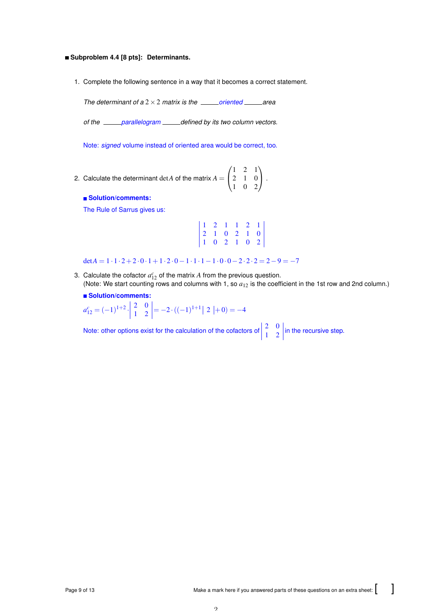#### **Subproblem 4.4 [8 pts]: Determinants.**

1. Complete the following sentence in a way that it becomes a correct statement.

*The determinant of a*  $2 \times 2$  *matrix is the \_\_\_\_\_\_oriented* \_\_\_\_\_\_area

*of the parallelogram defined by its two column vectors.*

Note: *signed* volume instead of oriented area would be correct, too.

2. Calculate the determinant  $\det A$  of the matrix  $A =$  $\sqrt{ }$  $\overline{1}$ 1 2 1 2 1 0 1 0 2  $\setminus$  $\vert \cdot$ 

## **Solution/comments:**

The Rule of Sarrus gives us:

| $\begin{array}{ccccccccc} 1 & 2 & 1 & 1 & 2 & 1 \\ 2 & 1 & 0 & 2 & 1 & 0 \\ 1 & 0 & 2 & 1 & 0 & 2 \end{array}$ |  |  |  |
|----------------------------------------------------------------------------------------------------------------|--|--|--|

 $\det A = 1 \cdot 1 \cdot 2 + 2 \cdot 0 \cdot 1 + 1 \cdot 2 \cdot 0 - 1 \cdot 1 \cdot 1 - 1 \cdot 0 \cdot 0 - 2 \cdot 2 \cdot 2 = 2 - 9 = -7$ 

3. Calculate the cofactor  $a_{12}^c$  of the matrix  $A$  from the previous question. (Note: We start counting rows and columns with 1, so *a*<sup>12</sup> is the coefficient in the 1st row and 2nd column.)

#### **Solution/comments:**

$$
a_{12}^c = (-1)^{1+2} \cdot \begin{vmatrix} 2 & 0 \\ 1 & 2 \end{vmatrix} = -2 \cdot ((-1)^{1+1}) \cdot 2 + (0) = -4
$$

Note: other options exist for the calculation of the cofactors of  $\begin{vmatrix} 2 & 0 \\ 1 & 2 \end{vmatrix}$  in the recursive step.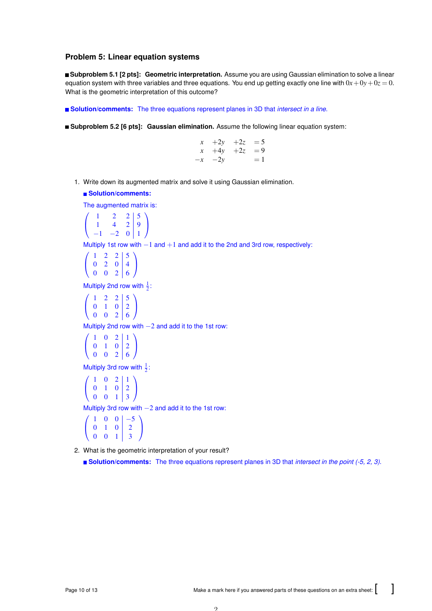## **Problem 5: Linear equation systems**

**Subproblem 5.1 [2 pts]: Geometric interpretation.** Assume you are using Gaussian elimination to solve a linear equation system with three variables and three equations. You end up getting exactly one line with  $0x + 0y + 0z = 0$ . What is the geometric interpretation of this outcome?

**Solution/comments:** The three equations represent planes in 3D that *intersect in a line*.

**Subproblem 5.2 [6 pts]: Gaussian elimination.** Assume the following linear equation system:

| $x + 2y$   | $+2z = 5$ |      |
|------------|-----------|------|
| $x + 4y$   | $+2z = 9$ |      |
| $-x$ $-2y$ |           | $=1$ |

1. Write down its augmented matrix and solve it using Gaussian elimination.

#### **Solution/comments:**

The augmented matrix is:

$$
\left(\begin{array}{ccc|c} 1 & 2 & 2 & 5 \\ 1 & 4 & 2 & 9 \\ -1 & -2 & 0 & 1 \end{array}\right)
$$

Multiply 1st row with −1 and +1 and add it to the 2nd and 3rd row, respectively:

$$
\left(\begin{array}{ccc|c} 1 & 2 & 2 & 5 \\ 0 & 2 & 0 & 4 \\ 0 & 0 & 2 & 6 \end{array}\right)
$$

Multiply 2nd row with  $\frac{1}{2}$ :

$$
\left(\begin{array}{ccc|c}\n1 & 2 & 2 & 5\\
0 & 1 & 0 & 2\\
0 & 0 & 2 & 6\n\end{array}\right)
$$

Multiply 2nd row with  $-2$  and add it to the 1st row:

$$
\left(\begin{array}{ccc|c}\n1 & 0 & 2 & 1 \\
0 & 1 & 0 & 2 \\
0 & 0 & 2 & 6\n\end{array}\right)
$$

Multiply 3rd row with  $\frac{1}{2}$ :

$$
\left(\begin{array}{ccc|c} 1 & 0 & 2 & 1 \\ 0 & 1 & 0 & 2 \\ 0 & 0 & 1 & 3 \end{array}\right)
$$

Multiply 3rd row with −2 and add it to the 1st row:

$$
\left(\begin{array}{ccc|c}\n1 & 0 & 0 & -5 \\
0 & 1 & 0 & 2 \\
0 & 0 & 1 & 3\n\end{array}\right)
$$

2. What is the geometric interpretation of your result?

**Solution/comments:** The three equations represent planes in 3D that *intersect in the point (-5, 2, 3)*.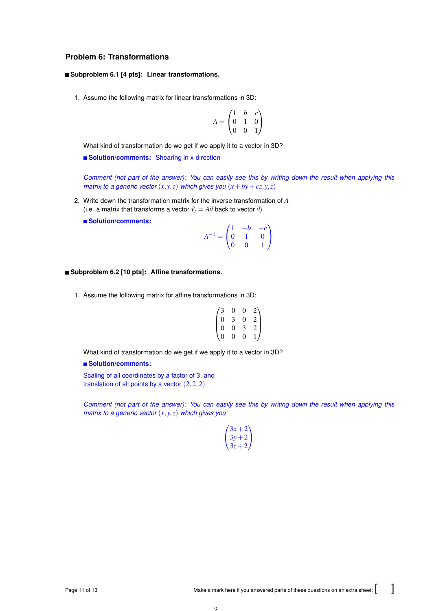# **Problem 6: Transformations**

#### **Subproblem 6.1 [4 pts]: Linear transformations.**

1. Assume the following matrix for linear transformations in 3D:

$$
A = \begin{pmatrix} 1 & b & c \\ 0 & 1 & 0 \\ 0 & 0 & 1 \end{pmatrix}
$$

What kind of transformation do we get if we apply it to a vector in 3D?

**Solution/comments:** Shearing in x-direction

*Comment (not part of the answer): You can easily see this by writing down the result when applying this matrix to a generic vector*  $(x, y, z)$  *which gives you*  $(x + by + cz, y, z)$ 

- 2. Write down the transformation matrix for the inverse transformation of *A* (i.e. a matrix that transforms a vector  $\vec{v}_t = A\vec{v}$  back to vector  $\vec{v}$ ).
	- **Solution/comments:**

$$
A^{-1} = \begin{pmatrix} 1 & -b & -c \\ 0 & 1 & 0 \\ 0 & 0 & 1 \end{pmatrix}
$$

#### **Subproblem 6.2 [10 pts]: Affine transformations.**

1. Assume the following matrix for affine transformations in 3D:

$$
\begin{pmatrix}\n3 & 0 & 0 & 2 \\
0 & 3 & 0 & 2 \\
0 & 0 & 3 & 2 \\
0 & 0 & 0 & 1\n\end{pmatrix}
$$

What kind of transformation do we get if we apply it to a vector in 3D?

### **Solution/comments:**

Scaling of all coordinates by a factor of 3, and translation of all points by a vector  $(2,2,2)$ 

*Comment (not part of the answer): You can easily see this by writing down the result when applying this matrix to a generic vector* (*x*, *y*,*z*) *which gives you*

| $3x + 2$ |  |
|----------|--|
| $3v+2$   |  |
| $3z + 2$ |  |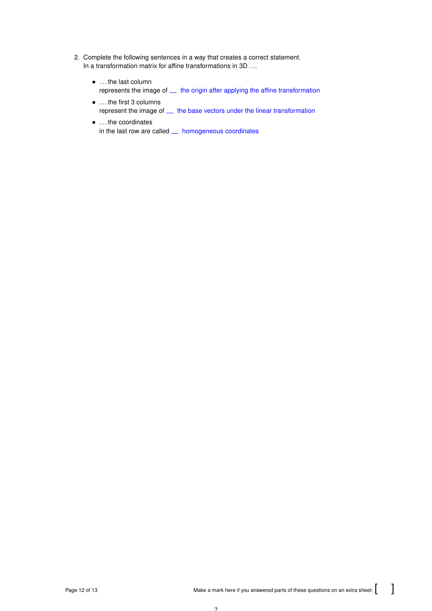- 2. Complete the following sentences in a way that creates a correct statement. In a transformation matrix for affine transformations in 3D ...
	- . . . the last column represents the image of  $\_\_$  the origin after applying the affine transformation
	- . . . the first 3 columns represent the image of  $\_\_$  the base vectors under the linear transformation
	- . . . the coordinates in the last row are called  $\_\_$  homogeneous coordinates